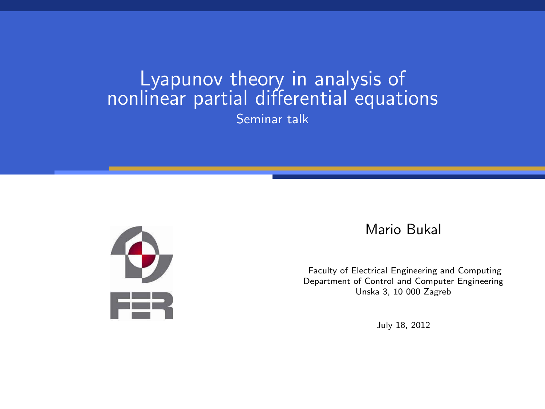# Lyapunov theory in analysis of nonlinear partial differential equations Seminar talk



#### Mario Bukal

Faculty of Electrical Engineering and Computing Department of Control and Computer Engineering Unska 3, 10 000 Zagreb

July 18, 2012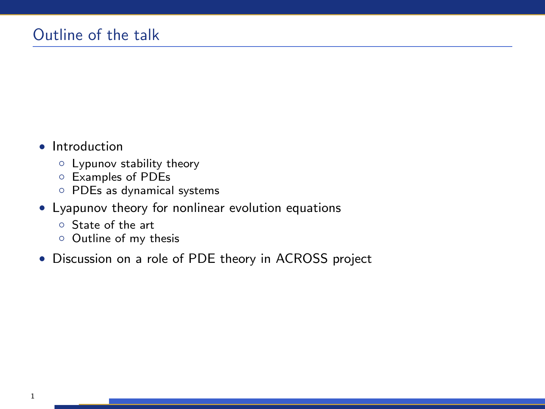- Introduction
	- Lypunov stability theory
	- Examples of PDEs
	- PDEs as dynamical systems
- Lyapunov theory for nonlinear evolution equations
	- State of the art
	- Outline of my thesis
- Discussion on a role of PDE theory in ACROSS project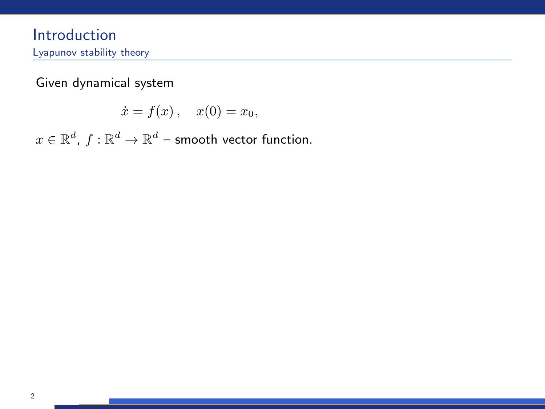Introduction Lyapunov stability theory

Given dynamical system

 $\dot{x} = f(x), \quad x(0) = x_0,$ 

 $x \in \mathbb{R}^d$ ,  $f: \mathbb{R}^d \to \mathbb{R}^d$  – smooth vector function.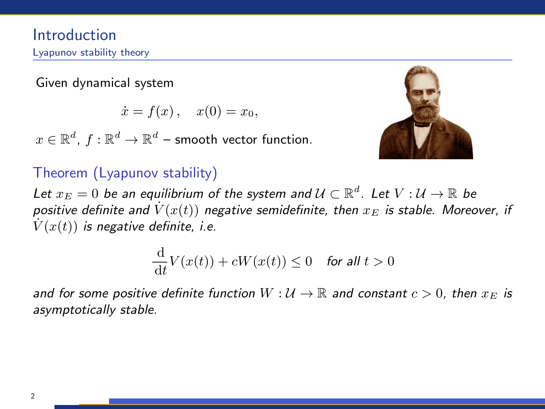Given dynamical system

 $\dot{x} = f(x), \quad x(0) = x_0,$ 

 $x \in \mathbb{R}^d$ ,  $f: \mathbb{R}^d \to \mathbb{R}^d$  – smooth vector function.



# Theorem (Lyapunov stability)

Let  $x_E=0$  be an equilibrium of the system and  $\mathcal{U}\subset\mathbb{R}^d.$  Let  $V:\mathcal{U}\to\mathbb{R}$  be positive definite and  $\dot{V}(x(t))$  negative semidefinite, then  $x_E$  is stable. Moreover, if  $V(x(t))$  is negative definite, i.e.

$$
\frac{\mathrm{d}}{\mathrm{d}t}V(x(t)) + cW(x(t)) \le 0 \quad \text{for all } t > 0
$$

and for some positive definite function  $W : U \to \mathbb{R}$  and constant  $c > 0$ , then  $x_E$  is asymptotically stable.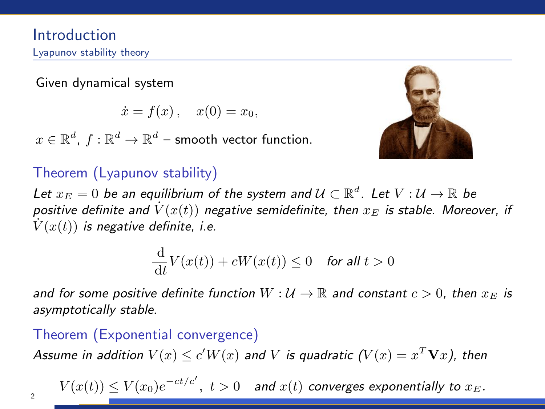Given dynamical system

 $\dot{x} = f(x), \quad x(0) = x_0,$ 

 $x \in \mathbb{R}^d$ ,  $f: \mathbb{R}^d \to \mathbb{R}^d$  – smooth vector function.



# Theorem (Lyapunov stability)

Let  $x_E=0$  be an equilibrium of the system and  $\mathcal{U}\subset\mathbb{R}^d.$  Let  $V:\mathcal{U}\to\mathbb{R}$  be positive definite and  $\dot{V}(x(t))$  negative semidefinite, then  $x_E$  is stable. Moreover, if  $V(x(t))$  is negative definite, i.e.

$$
\frac{\mathrm{d}}{\mathrm{d}t}V(x(t)) + cW(x(t)) \le 0 \quad \text{for all } t > 0
$$

and for some positive definite function  $W : U \to \mathbb{R}$  and constant  $c > 0$ , then  $x_E$  is asymptotically stable.

## Theorem (Exponential convergence)

Assume in addition  $V(x)\leq c'W(x)$  and  $V$  is quadratic  $(V(x)=x^T\mathbf{V}x)$ , then

 $V(x(t)) \leq V(x_0)e^{-ct/c'},\ t>0\quad$  and  $x(t)$  converges exponentially to  $x_E$ .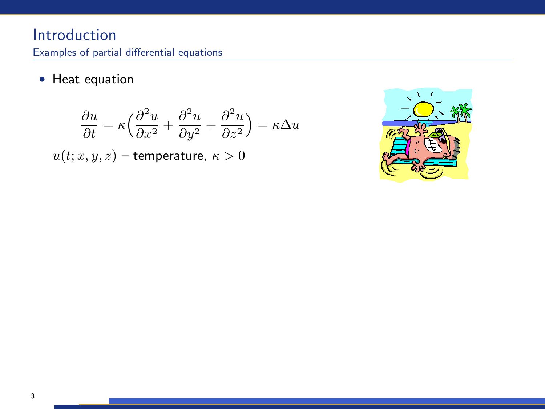## Introduction Examples of partial differential equations

• Heat equation

$$
\frac{\partial u}{\partial t} = \kappa \left( \frac{\partial^2 u}{\partial x^2} + \frac{\partial^2 u}{\partial y^2} + \frac{\partial^2 u}{\partial z^2} \right) = \kappa \Delta u
$$

 $u(t; x, y, z)$  – temperature,  $\kappa > 0$ 

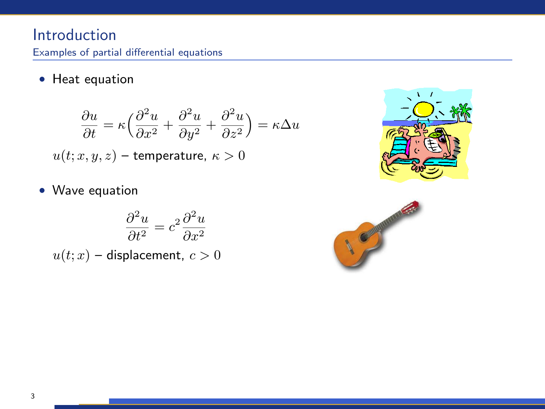## Introduction Examples of partial differential equations

• Heat equation

$$
\frac{\partial u}{\partial t} = \kappa \Big( \frac{\partial^2 u}{\partial x^2} + \frac{\partial^2 u}{\partial y^2} + \frac{\partial^2 u}{\partial z^2} \Big) = \kappa \Delta u
$$
  

$$
u(t;x,y,z) - \text{temperature, } \kappa > 0
$$

• Wave equation

$$
\frac{\partial^2 u}{\partial t^2} = c^2 \frac{\partial^2 u}{\partial x^2}
$$

 $u(t; x)$  – displacement,  $c > 0$ 



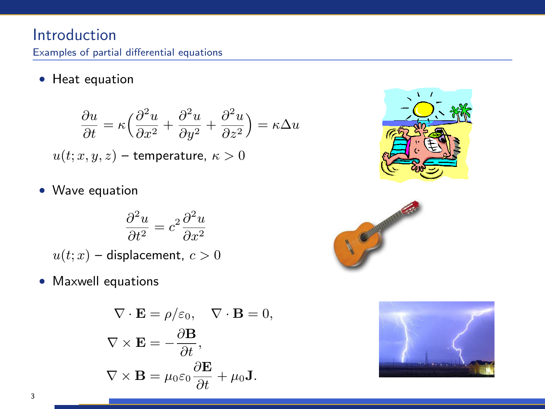## Introduction Examples of partial differential equations

• Heat equation

$$
\frac{\partial u}{\partial t} = \kappa \Big( \frac{\partial^2 u}{\partial x^2} + \frac{\partial^2 u}{\partial y^2} + \frac{\partial^2 u}{\partial z^2} \Big) = \kappa \Delta u
$$
  

$$
u(t; x, y, z) - \text{temperature, } \kappa > 0
$$

• Wave equation

$$
\frac{\partial^2 u}{\partial t^2} = c^2 \frac{\partial^2 u}{\partial x^2}
$$

 $u(t; x)$  – displacement,  $c > 0$ 

• Maxwell equations

$$
\nabla \cdot \mathbf{E} = \rho/\varepsilon_0, \quad \nabla \cdot \mathbf{B} = 0,
$$

$$
\nabla \times \mathbf{E} = -\frac{\partial \mathbf{B}}{\partial t},
$$

$$
\nabla \times \mathbf{B} = \mu_0 \varepsilon_0 \frac{\partial \mathbf{E}}{\partial t} + \mu_0 \mathbf{J}.
$$





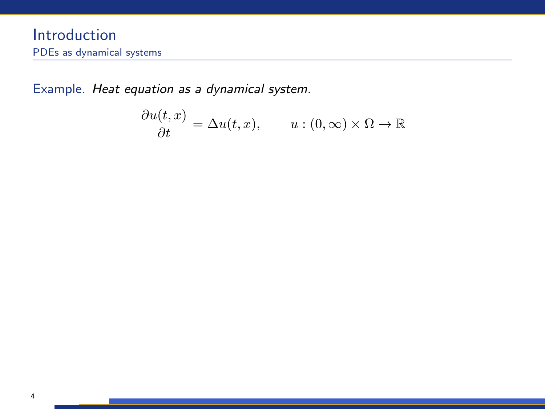Example. Heat equation as a dynamical system.

$$
\frac{\partial u(t,x)}{\partial t} = \Delta u(t,x), \qquad u:(0,\infty) \times \Omega \to \mathbb{R}
$$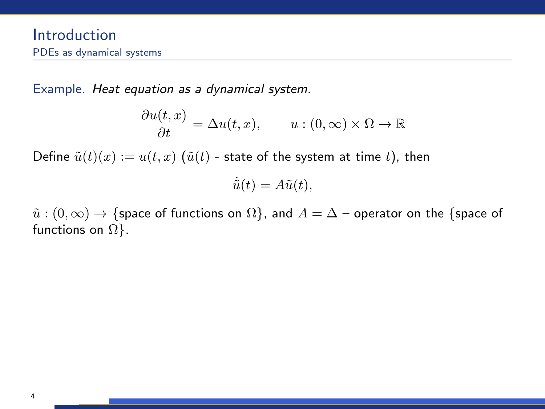Example. Heat equation as a dynamical system.

$$
\frac{\partial u(t,x)}{\partial t} = \Delta u(t,x), \qquad u:(0,\infty) \times \Omega \to \mathbb{R}
$$

Define  $\tilde{u}(t)(x) := u(t, x)$  ( $\tilde{u}(t)$  - state of the system at time t), then

$$
\dot{\tilde{u}}(t) = A\tilde{u}(t),
$$

 $\tilde{u}: (0, \infty) \to \{$ space of functions on  $\Omega\}$ , and  $A = \Delta$  – operator on the  $\{$ space of functions on  $\Omega$ .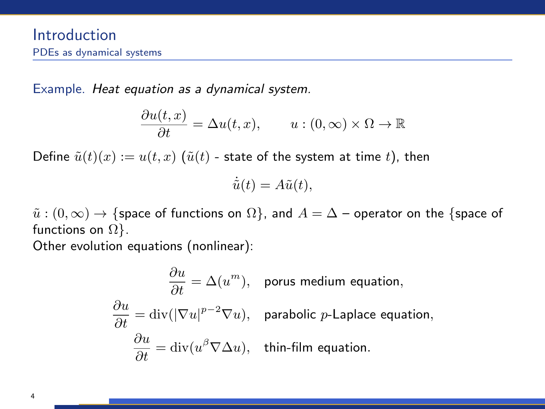Example. Heat equation as a dynamical system.

$$
\frac{\partial u(t,x)}{\partial t} = \Delta u(t,x), \qquad u:(0,\infty) \times \Omega \to \mathbb{R}
$$

Define  $\tilde{u}(t)(x) := u(t, x)$  ( $\tilde{u}(t)$  - state of the system at time t), then

$$
\dot{\tilde{u}}(t) = A\tilde{u}(t),
$$

 $\tilde{u}: (0, \infty) \to \{$ space of functions on  $\Omega\}$ , and  $A = \Delta$  – operator on the  $\{$ space of functions on  $\Omega$ .

Other evolution equations (nonlinear):

$$
\frac{\partial u}{\partial t} = \Delta(u^m), \text{ porus medium equation,}
$$

$$
\frac{\partial u}{\partial t} = \text{div}(|\nabla u|^{p-2} \nabla u), \text{ parabolic } p\text{-Laplace equation,}
$$

$$
\frac{\partial u}{\partial t} = \text{div}(u^{\beta} \nabla \Delta u), \text{ thin-film equation.}
$$

4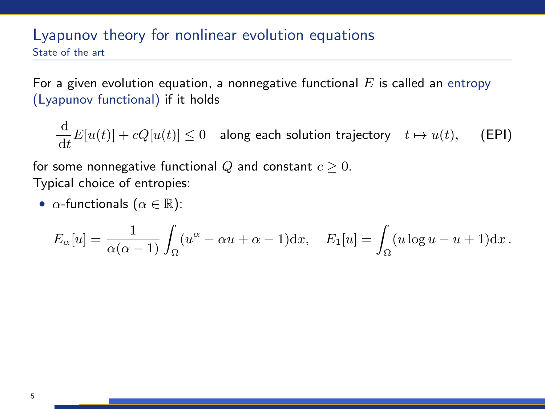## Lyapunov theory for nonlinear evolution equations State of the art

For a given evolution equation, a nonnegative functional  $E$  is called an entropy (Lyapunov functional) if it holds

$$
\frac{\mathrm{d}}{\mathrm{d}t}E[u(t)] + cQ[u(t)] \le 0 \quad \text{along each solution trajectory} \quad t \mapsto u(t), \quad \text{(EPI)}
$$

for some nonnegative functional Q and constant  $c \geq 0$ . Typical choice of entropies:

•  $\alpha$ -functionals  $(\alpha \in \mathbb{R})$ :

$$
E_{\alpha}[u] = \frac{1}{\alpha(\alpha-1)} \int_{\Omega} (u^{\alpha} - \alpha u + \alpha - 1) dx, \quad E_{1}[u] = \int_{\Omega} (u \log u - u + 1) dx.
$$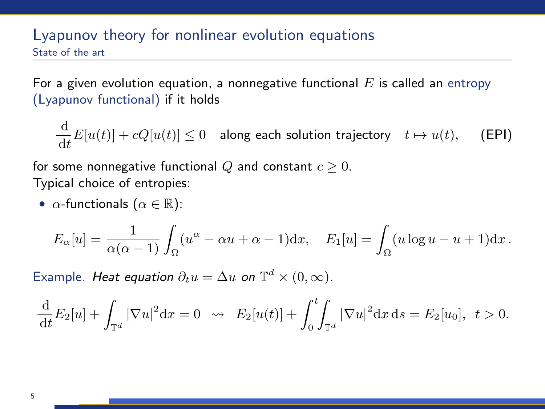## Lyapunov theory for nonlinear evolution equations State of the art

For a given evolution equation, a nonnegative functional  $E$  is called an entropy (Lyapunov functional) if it holds

$$
\frac{\mathrm{d}}{\mathrm{d}t}E[u(t)] + cQ[u(t)] \le 0 \quad \text{along each solution trajectory} \quad t \mapsto u(t), \quad \text{(EPI)}
$$

for some nonnegative functional Q and constant  $c \geq 0$ . Typical choice of entropies:

•  $\alpha$ -functionals  $(\alpha \in \mathbb{R})$ :

$$
E_{\alpha}[u] = \frac{1}{\alpha(\alpha-1)} \int_{\Omega} (u^{\alpha} - \alpha u + \alpha - 1) \mathrm{d}x, \quad E_1[u] = \int_{\Omega} (u \log u - u + 1) \mathrm{d}x.
$$

Example. Heat equation  $\partial_t u = \Delta u$  on  $\mathbb{T}^d \times (0, \infty)$ .

$$
\frac{\mathrm{d}}{\mathrm{d}t}E_2[u] + \int_{\mathbb{T}^d} |\nabla u|^2 \mathrm{d}x = 0 \quad \sim \quad E_2[u(t)] + \int_0^t \int_{\mathbb{T}^d} |\nabla u|^2 \mathrm{d}x \, \mathrm{d}s = E_2[u_0], \ \ t > 0.
$$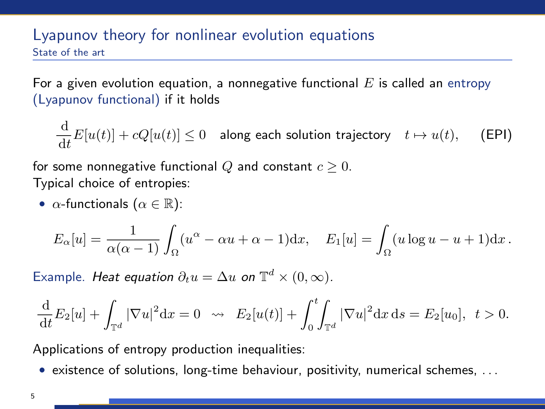## Lyapunov theory for nonlinear evolution equations State of the art

For a given evolution equation, a nonnegative functional  $E$  is called an entropy (Lyapunov functional) if it holds

$$
\frac{\mathrm{d}}{\mathrm{d}t}E[u(t)] + cQ[u(t)] \le 0 \quad \text{along each solution trajectory} \quad t \mapsto u(t), \quad \text{(EPI)}
$$

for some nonnegative functional Q and constant  $c \geq 0$ . Typical choice of entropies:

•  $\alpha$ -functionals  $(\alpha \in \mathbb{R})$ :

$$
E_{\alpha}[u] = \frac{1}{\alpha(\alpha-1)} \int_{\Omega} (u^{\alpha} - \alpha u + \alpha - 1) dx, \quad E_1[u] = \int_{\Omega} (u \log u - u + 1) dx.
$$

Example. Heat equation  $\partial_t u = \Delta u$  on  $\mathbb{T}^d \times (0, \infty)$ .

$$
\frac{\mathrm{d}}{\mathrm{d}t}E_2[u] + \int_{\mathbb{T}^d} |\nabla u|^2 \mathrm{d}x = 0 \quad \sim \quad E_2[u(t)] + \int_0^t \int_{\mathbb{T}^d} |\nabla u|^2 \mathrm{d}x \, \mathrm{d}s = E_2[u_0], \ \ t > 0.
$$

Applications of entropy production inequalities:

• existence of solutions, long-time behaviour, positivity, numerical schemes, . . .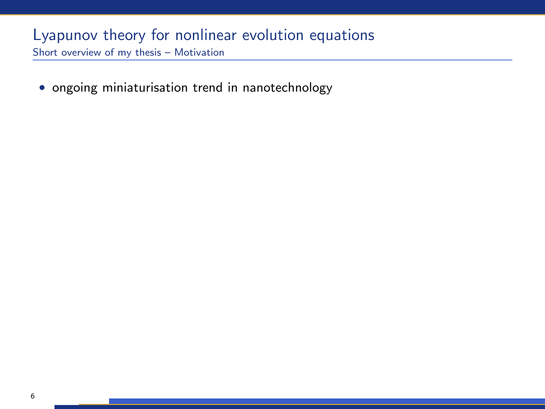• ongoing miniaturisation trend in nanotechnology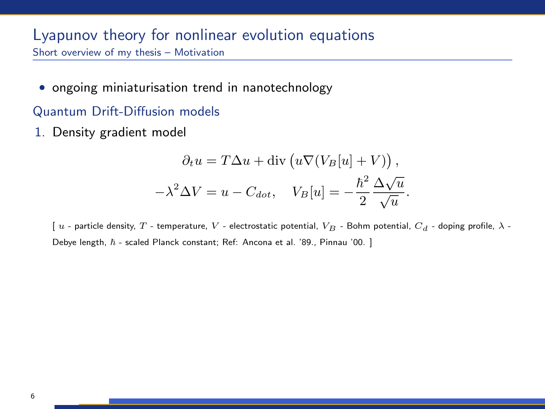• ongoing miniaturisation trend in nanotechnology

#### Quantum Drift-Diffusion models

1. Density gradient model

$$
\partial_t u = T \Delta u + \text{div} \left( u \nabla (V_B[u] + V) \right),
$$

$$
-\lambda^2 \Delta V = u - C_{dot}, \quad V_B[u] = -\frac{\hbar^2}{2} \frac{\Delta \sqrt{u}}{\sqrt{u}}.
$$

[ u - particle density, T - temperature, V - electrostatic potential,  $V_B$  - Bohm potential,  $C_d$  - doping profile,  $\lambda$  -Debye length,  $\hbar$  - scaled Planck constant; Ref: Ancona et al. '89., Pinnau '00. ]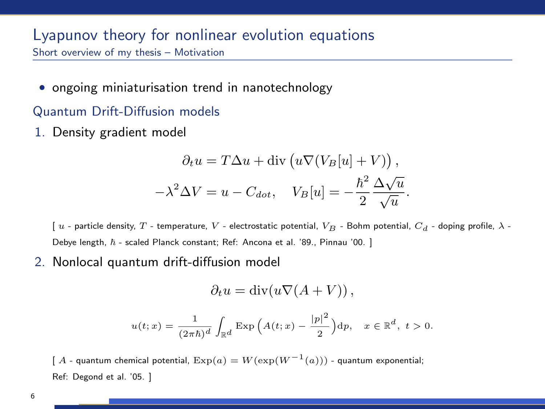• ongoing miniaturisation trend in nanotechnology

#### Quantum Drift-Diffusion models

1. Density gradient model

$$
\partial_t u = T \Delta u + \text{div} \left( u \nabla (V_B[u] + V) \right),
$$

$$
-\lambda^2 \Delta V = u - C_{dot}, \quad V_B[u] = -\frac{\hbar^2}{2} \frac{\Delta \sqrt{u}}{\sqrt{u}}.
$$

[ u - particle density, T - temperature, V - electrostatic potential,  $V_B$  - Bohm potential,  $C_d$  - doping profile,  $\lambda$  -Debye length,  $\hbar$  - scaled Planck constant; Ref: Ancona et al. '89., Pinnau '00. ]

2. Nonlocal quantum drift-diffusion model

$$
\partial_t u = \mathrm{div}(u \nabla (A + V)),
$$

$$
u(t;x)=\frac{1}{(2\pi\hbar)^d}\int_{\mathbb{R}^d}\mathrm{Exp}\,\Big(A(t;x)-\frac{|p|^2}{2}\Big){\mathrm d} p,\quad x\in\mathbb{R}^d,\ t>0.
$$

[ A - quantum chemical potential,  $Exp(a) = W(exp(W^{-1}(a)))$  - quantum exponential; Ref: Degond et al. '05. ]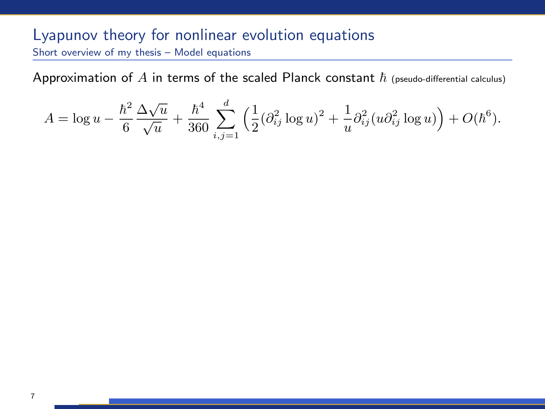Approximation of  $A$  in terms of the scaled Planck constant  $\hbar$  (pseudo-differential calculus)

$$
A = \log u - \frac{\hbar^2}{6} \frac{\Delta \sqrt{u}}{\sqrt{u}} + \frac{\hbar^4}{360} \sum_{i,j=1}^d \left( \frac{1}{2} (\partial_{ij}^2 \log u)^2 + \frac{1}{u} \partial_{ij}^2 (u \partial_{ij}^2 \log u) \right) + O(\hbar^6).
$$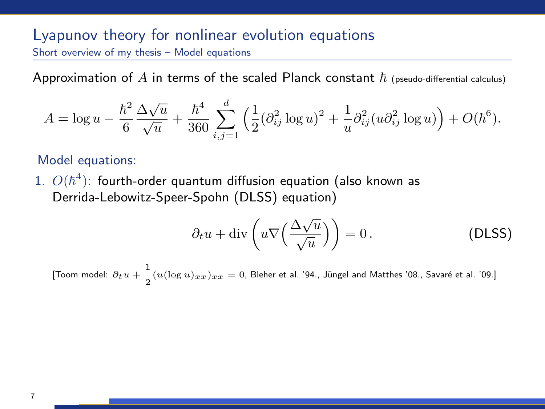Approximation of A in terms of the scaled Planck constant  $h$  (pseudo-differential calculus)

$$
A = \log u - \frac{\hbar^2}{6} \frac{\Delta \sqrt{u}}{\sqrt{u}} + \frac{\hbar^4}{360} \sum_{i,j=1}^d \left( \frac{1}{2} (\partial_{ij}^2 \log u)^2 + \frac{1}{u} \partial_{ij}^2 (u \partial_{ij}^2 \log u) \right) + O(\hbar^6).
$$

Model equations:

 $1.$   $O(\hbar^4)$ : fourth-order quantum diffusion equation (also known as Derrida-Lebowitz-Speer-Spohn (DLSS) equation)

$$
\partial_t u + \text{div}\left(u\nabla\left(\frac{\Delta\sqrt{u}}{\sqrt{u}}\right)\right) = 0.
$$
 (DLSS)

[Toom model:  $\partial_t u + \frac{1}{2}$  $\frac{1}{2}(u(\log u)_{xx})_{xx} = 0$ , Bleher et al. '94., Jüngel and Matthes '08., Savaré et al. '09.]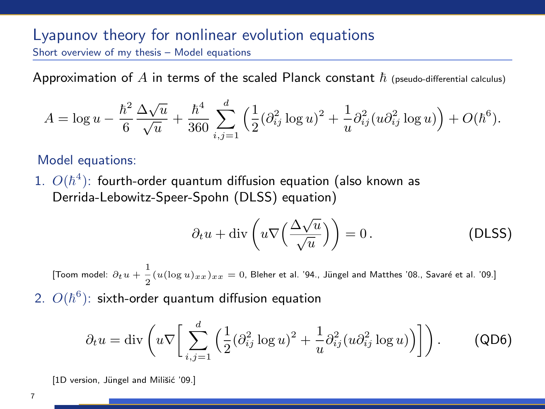Approximation of A in terms of the scaled Planck constant  $h$  (pseudo-differential calculus)

$$
A = \log u - \frac{\hbar^2}{6} \frac{\Delta \sqrt{u}}{\sqrt{u}} + \frac{\hbar^4}{360} \sum_{i,j=1}^d \left( \frac{1}{2} (\partial_{ij}^2 \log u)^2 + \frac{1}{u} \partial_{ij}^2 (u \partial_{ij}^2 \log u) \right) + O(\hbar^6).
$$

Model equations:

 $1.$   $O(\hbar^4)$ : fourth-order quantum diffusion equation (also known as Derrida-Lebowitz-Speer-Spohn (DLSS) equation)

$$
\partial_t u + \text{div}\left(u\nabla\left(\frac{\Delta\sqrt{u}}{\sqrt{u}}\right)\right) = 0.
$$
 (DLSS)

[Toom model:  $\partial_t u + \frac{1}{2}$  $\frac{1}{2}(u(\log u)_{xx})_{xx} = 0$ , Bleher et al. '94., Jüngel and Matthes '08., Savaré et al. '09.]

2.  $O(\hbar^6)$ : sixth-order quantum diffusion equation

$$
\partial_t u = \text{div}\left(u\nabla \bigg[\sum_{i,j=1}^d \Big(\frac{1}{2}(\partial_{ij}^2 \log u)^2 + \frac{1}{u}\partial_{ij}^2(u\partial_{ij}^2 \log u)\Big)\bigg]\right). \tag{QD6}
$$

[1D version, Jüngel and Milišić '09.]

7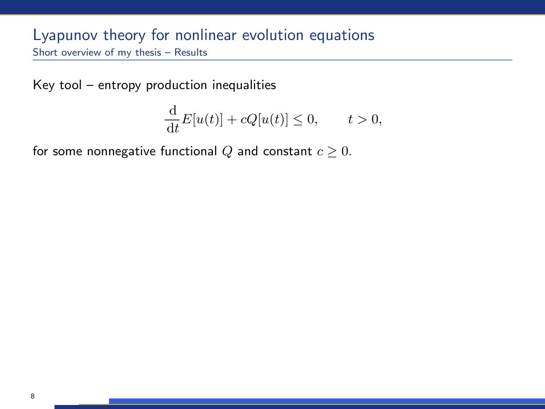Key tool – entropy production inequalities

$$
\frac{\mathrm{d}}{\mathrm{d}t}E[u(t)] + cQ[u(t)] \le 0, \qquad t > 0,
$$

for some nonnegative functional Q and constant  $c \geq 0$ .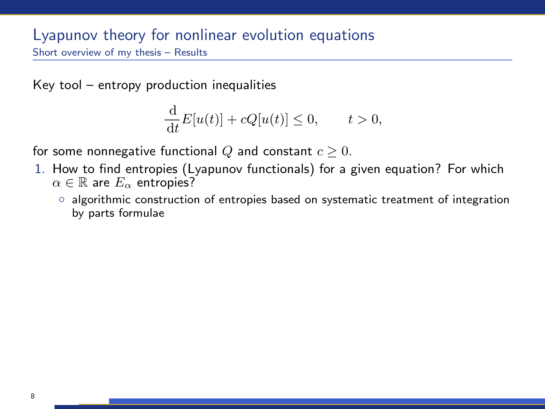Key tool – entropy production inequalities

$$
\frac{\mathrm{d}}{\mathrm{d}t}E[u(t)] + cQ[u(t)] \le 0, \qquad t > 0,
$$

for some nonnegative functional  $Q$  and constant  $c \geq 0$ .

- 1. How to find entropies (Lyapunov functionals) for a given equation? For which  $\alpha \in \mathbb{R}$  are  $E_{\alpha}$  entropies?
	- algorithmic construction of entropies based on systematic treatment of integration by parts formulae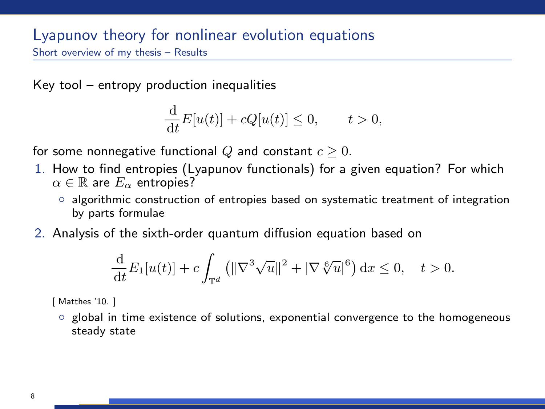Key tool – entropy production inequalities

$$
\frac{\mathrm{d}}{\mathrm{d}t}E[u(t)] + cQ[u(t)] \le 0, \qquad t > 0,
$$

for some nonnegative functional Q and constant  $c \geq 0$ .

- 1. How to find entropies (Lyapunov functionals) for a given equation? For which  $\alpha \in \mathbb{R}$  are  $E_{\alpha}$  entropies?
	- algorithmic construction of entropies based on systematic treatment of integration by parts formulae
- 2. Analysis of the sixth-order quantum diffusion equation based on

$$
\frac{\mathrm{d}}{\mathrm{d}t}E_1[u(t)] + c \int_{\mathbb{T}^d} \left( \|\nabla^3 \sqrt{u}\|^2 + |\nabla \sqrt[6]{u}|^6 \right) \mathrm{d}x \le 0, \quad t > 0.
$$

[ Matthes '10. ]

◦ global in time existence of solutions, exponential convergence to the homogeneous steady state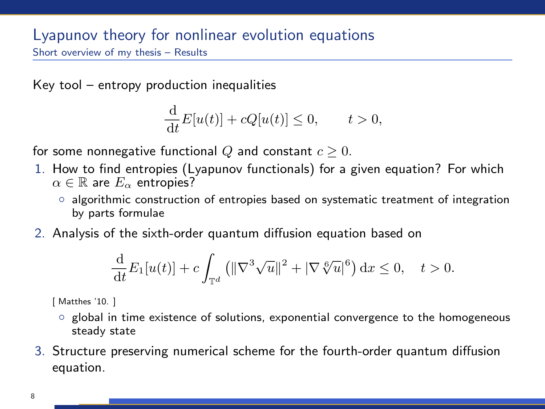Key tool – entropy production inequalities

$$
\frac{\mathrm{d}}{\mathrm{d}t}E[u(t)] + cQ[u(t)] \le 0, \qquad t > 0,
$$

for some nonnegative functional Q and constant  $c \geq 0$ .

- 1. How to find entropies (Lyapunov functionals) for a given equation? For which  $\alpha \in \mathbb{R}$  are  $E_{\alpha}$  entropies?
	- algorithmic construction of entropies based on systematic treatment of integration by parts formulae
- 2. Analysis of the sixth-order quantum diffusion equation based on

$$
\frac{\mathrm{d}}{\mathrm{d}t}E_1[u(t)] + c \int_{\mathbb{T}^d} \left( \|\nabla^3 \sqrt{u}\|^2 + |\nabla \sqrt[6]{u}|^6 \right) \mathrm{d}x \le 0, \quad t > 0.
$$

[ Matthes '10. ]

- global in time existence of solutions, exponential convergence to the homogeneous steady state
- 3. Structure preserving numerical scheme for the fourth-order quantum diffusion equation.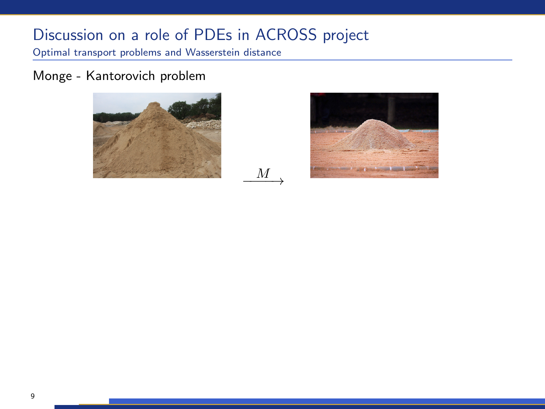$M_{-+}$ 

Optimal transport problems and Wasserstein distance

Monge - Kantorovich problem



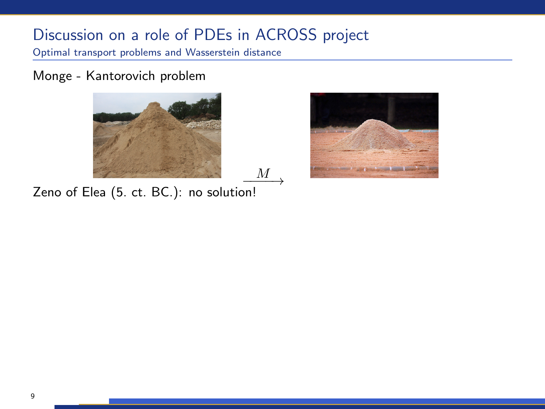Optimal transport problems and Wasserstein distance

Monge - Kantorovich problem





Zeno of Elea (5. ct. BC.): no solution!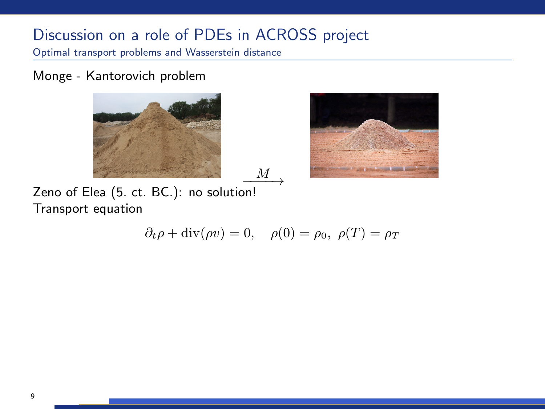Optimal transport problems and Wasserstein distance

Monge - Kantorovich problem





Zeno of Elea (5. ct. BC.): no solution! Transport equation

$$
\partial_t \rho + \text{div}(\rho v) = 0, \quad \rho(0) = \rho_0, \ \rho(T) = \rho_T
$$

 $\underline{M}$ <sub>→</sub>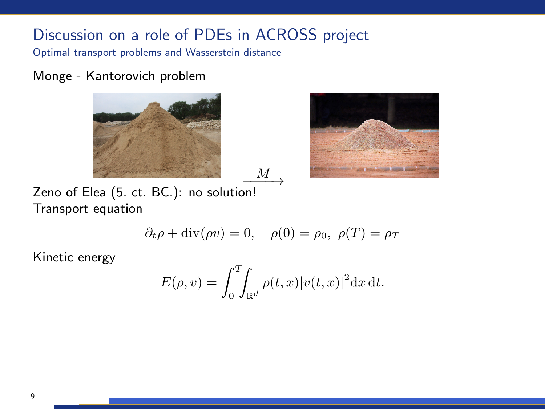Optimal transport problems and Wasserstein distance

Monge - Kantorovich problem





Zeno of Elea (5. ct. BC.): no solution! Transport equation

$$
\partial_t \rho + \text{div}(\rho v) = 0, \quad \rho(0) = \rho_0, \ \rho(T) = \rho_T
$$

 $\underline{M}$ <sub>→</sub>

Kinetic energy

$$
E(\rho, v) = \int_0^T \int_{\mathbb{R}^d} \rho(t, x) |v(t, x)|^2 dx dt.
$$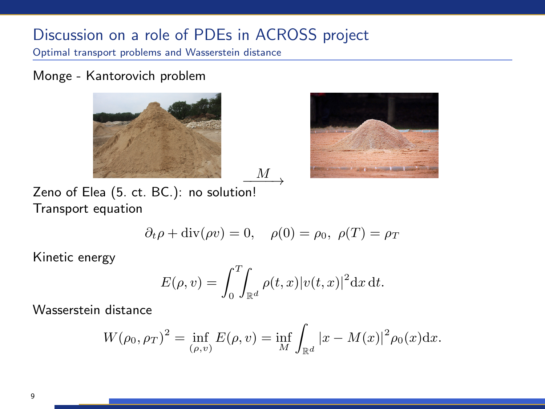Optimal transport problems and Wasserstein distance

Monge - Kantorovich problem





Zeno of Elea (5. ct. BC.): no solution! Transport equation

$$
\partial_t \rho + \text{div}(\rho v) = 0, \quad \rho(0) = \rho_0, \ \rho(T) = \rho_T
$$

 $\underline{M}$ <sub>→</sub>

Kinetic energy

$$
E(\rho, v) = \int_0^T \int_{\mathbb{R}^d} \rho(t, x) |v(t, x)|^2 dx dt.
$$

Wasserstein distance

$$
W(\rho_0, \rho_T)^2 = \inf_{(\rho, v)} E(\rho, v) = \inf_{M} \int_{\mathbb{R}^d} |x - M(x)|^2 \rho_0(x) dx.
$$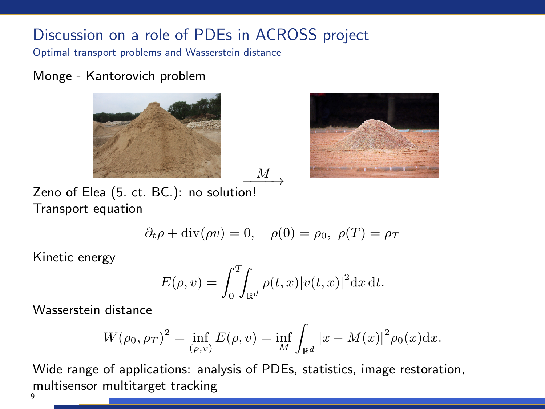Optimal transport problems and Wasserstein distance

Monge - Kantorovich problem





Zeno of Elea (5. ct. BC.): no solution! Transport equation

$$
\partial_t \rho + \text{div}(\rho v) = 0, \quad \rho(0) = \rho_0, \ \rho(T) = \rho_T
$$

 $M_{-}$ →

Kinetic energy

$$
E(\rho, v) = \int_0^T \int_{\mathbb{R}^d} \rho(t, x) |v(t, x)|^2 dx dt.
$$

Wasserstein distance

$$
W(\rho_0, \rho_T)^2 = \inf_{(\rho, v)} E(\rho, v) = \inf_{M} \int_{\mathbb{R}^d} |x - M(x)|^2 \rho_0(x) dx.
$$

Wide range of applications: analysis of PDEs, statistics, image restoration, multisensor multitarget tracking

 $\mathbf{Q}$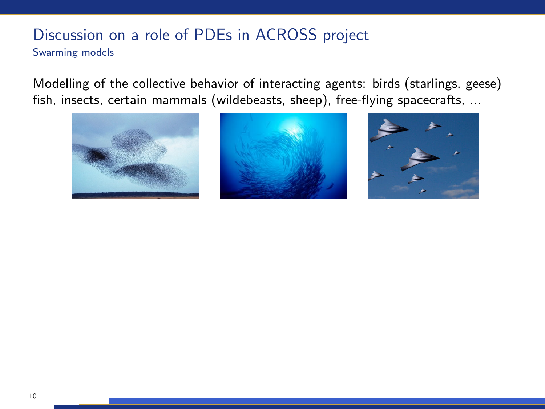## Discussion on a role of PDEs in ACROSS project Swarming models

Modelling of the collective behavior of interacting agents: birds (starlings, geese) fish, insects, certain mammals (wildebeasts, sheep), free-flying spacecrafts, ...





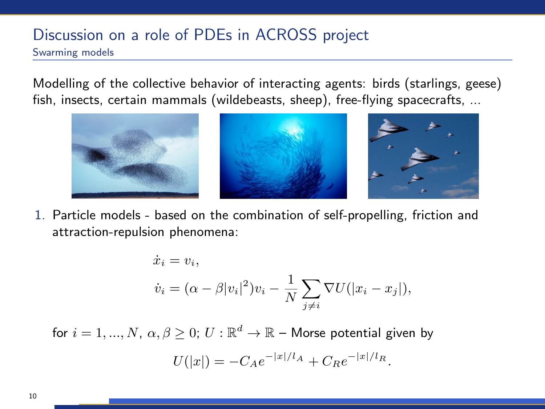## Discussion on a role of PDEs in ACROSS project Swarming models

Modelling of the collective behavior of interacting agents: birds (starlings, geese) fish, insects, certain mammals (wildebeasts, sheep), free-flying spacecrafts, ...



1. Particle models - based on the combination of self-propelling, friction and attraction-repulsion phenomena:

$$
\dot{x}_i = v_i,
$$
  

$$
\dot{v}_i = (\alpha - \beta |v_i|^2)v_i - \frac{1}{N} \sum_{j \neq i} \nabla U(|x_i - x_j|),
$$

for  $i=1,...,N, \, \alpha, \beta \geq 0; \, U: \mathbb{R}^d \to \mathbb{R}$  – Morse potential given by

$$
U(|x|) = -C_A e^{-|x|/l_A} + C_R e^{-|x|/l_R}.
$$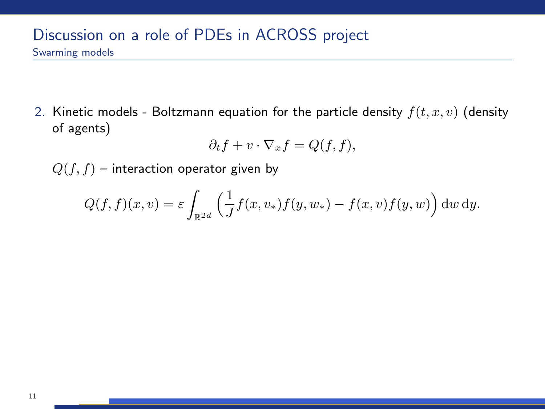2. Kinetic models - Boltzmann equation for the particle density  $f(t, x, v)$  (density of agents)

$$
\partial_t f + v \cdot \nabla_x f = Q(f, f),
$$

 $Q(f, f)$  – interaction operator given by

$$
Q(f, f)(x, v) = \varepsilon \int_{\mathbb{R}^{2d}} \left( \frac{1}{J} f(x, v_*) f(y, w_*) - f(x, v) f(y, w) \right) dw dy.
$$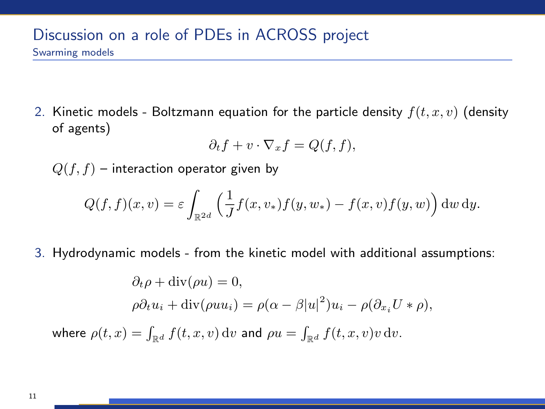2. Kinetic models - Boltzmann equation for the particle density  $f(t, x, v)$  (density of agents)

$$
\partial_t f + v \cdot \nabla_x f = Q(f, f),
$$

 $Q(f, f)$  – interaction operator given by

$$
Q(f, f)(x, v) = \varepsilon \int_{\mathbb{R}^{2d}} \left( \frac{1}{J} f(x, v_*) f(y, w_*) - f(x, v) f(y, w) \right) dw dy.
$$

3. Hydrodynamic models - from the kinetic model with additional assumptions:

$$
\partial_t \rho + \text{div}(\rho u) = 0,
$$
  
\n
$$
\rho \partial_t u_i + \text{div}(\rho u u_i) = \rho(\alpha - \beta |u|^2) u_i - \rho(\partial_{x_i} U * \rho),
$$
  
\nwhere 
$$
\rho(t, x) = \int_{\mathbb{R}^d} f(t, x, v) \, dv
$$
 and 
$$
\rho u = \int_{\mathbb{R}^d} f(t, x, v) v \, dv.
$$